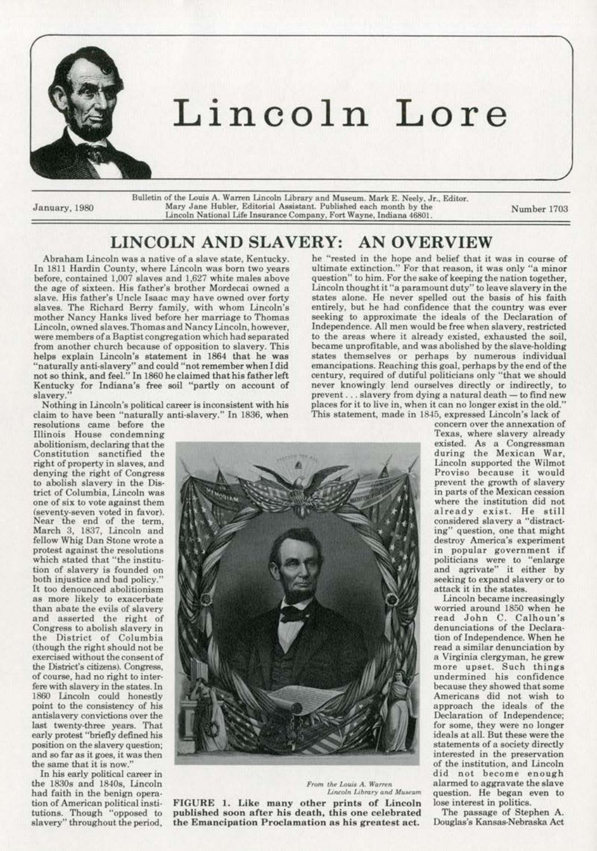

## **Lincoln Lore**

Bulletin of the Louis A. Warren Lincoln Library and Museum. Mark E. Neely, Jr., Editor. Mary Jane Hubler, Editorial Assistant. Published each month by the **January, 1980** Mary Jane Hubler, Editorial Assistant. Published each month by the Number 1703<br>Lincoln National Life Insurance Company, Fort Wayne, Indiana 46801.

## **LINCOLN AND SLAVERY: AN OVERVIEW**

Abraham Lincoln was a native of a slave state. Kentucky. In 1811 Hardin County, where Lincoln was born two years before, contained 1,007 slaves and 1,627 white males above the age of sixteen. His father's brother Mordecai owned a **slave. His father's Uncle Jsaac may have owned over forty**  slaves. The Richard Berry family, with whom Lincoln's **mother Nancy Hanks lived before her marriage** *to* **Thomas Lincoln. owned slaves. Thomas and Nancy Lincoln. however,**  were members of a Baptist congregation which had separated **from another church because of opposition to slavery. This**  helps explain Lincoln's statement in 1864 that he was "naturally anti-slavery" and could "not remember when I did not so think, and feel." In 1860 he claimed that his father left Kentucky for Indiana's free soil "partly on account of slavery.

Nothing in Lincoln's political career is inconsistent with his clajm to have been "naturally anti-slavery." In 1836. when

resolutions came before the **fJlinois House condemning**  abolitionism, declaring that the Constitution sanctified the right of property in slaves. and denying the right of Congress to abolish slavery in the Dis· trict of Columbia. Lincoln was **one of six to vote against them (seventy·seven voted in favor).**  Near the end of the term. March 3, 1837, Lincoln and fellow Whig Dan Stone wrote a protest against the resolutions which stated that "the institu**bon of slavery is founded on**  both injustice and bad policy." It too denounced abolitionism **as more Likely to exacerbate**  than abate the evils of slavery and asserted the right of **Congress to abolish slavery in**  the District of Columbia (though the right should not be **exercised without tbeconsentof**  the District's citizens). Congress, **of course, had no right to inter· fere with slavery in the states.ln**  1860 Lincoln could honestly **point to the consistency of his antislavery convictions over the**  last twenty-three years. That early protest "briefly defined his position on the slavery question; and so far as it goes, it was then the same that it is now."

In his early political career in the 1830s and 1840s, Lincoln had faith in the benign opera· tion of American political insti· tutions. Though "opposed to **slavery" throughout the period.** 

*From the Louis A. Warren Lincoln Library and Museum* FIGURE 1. Like many other prints of Lincoln published soon after his death, this one celebrated **the Emancipation P roclamation as his greatest act.** 

he "rested in the hope and belief that it was in course of **ultimate extinction." For that reason, it was only "a minor question" to him. For the sake of keeping the nation together, Lincoln thought it "a paramount duty" to leave slavery in the**  states alone. He never spelled out the basis of his faith **entirely, but he had confidence that the country was ever**  seeking to approximate the ideals of the Declaration of **Independence. All men would be free when slavery, restricted**  to the areas where it already existed. exhausted the soil, became unprofitable, and was abolished by the slave-holding **states themselves or perhaps by numerous individual**  emancipations. Reaching this goal, perhaps by the end of the **century, required of dutiful politicians only "'that we should**  never knowingly lend ourselves directly or indirectly, to prevent . . . slavery from dying a natural death - to find new **places for it to Jive in, when it can no longer exist in the old."**  This statement, made in 1845, expressed Lincoln's lack of

**concern over the annexation of**  Texas, where slavery already **existed. As a Congressman during the Mexican War,**  Lincoln supported the Wilmot **Proviso because it would**  prevent the growth of slavery **in parts** *or* **the Mexican cession**  where the institution did not already exist. He still considered slavery a "distract**ing" question, one that might destroy America's experiment in popular government if politicians were to ''enlarge and agrivate" it either by seeking to expand slavery or to**  attack it in the states.

**Lincoln became increasingly**  worried around 1850 when he read John C. Calhoun's denunciations of the Declara· tion of Independence. When he **read a similar denunciation by a Virginia clergyman, he grew more upset. Such things undermined his confidence**  because they showed that some Americans did not wish to approach the ideals of the Declaration of Independence; **for some, they were no longer**  ideals at all. But these were the statements of a society directly **interested in the preservation of the institution, and Lincoln**  did not become enough alarmed to aggra vale the slave question. He began even to lose interest in politics.

The passage of Stephen A. Douglas's Kansas-Nebraska Act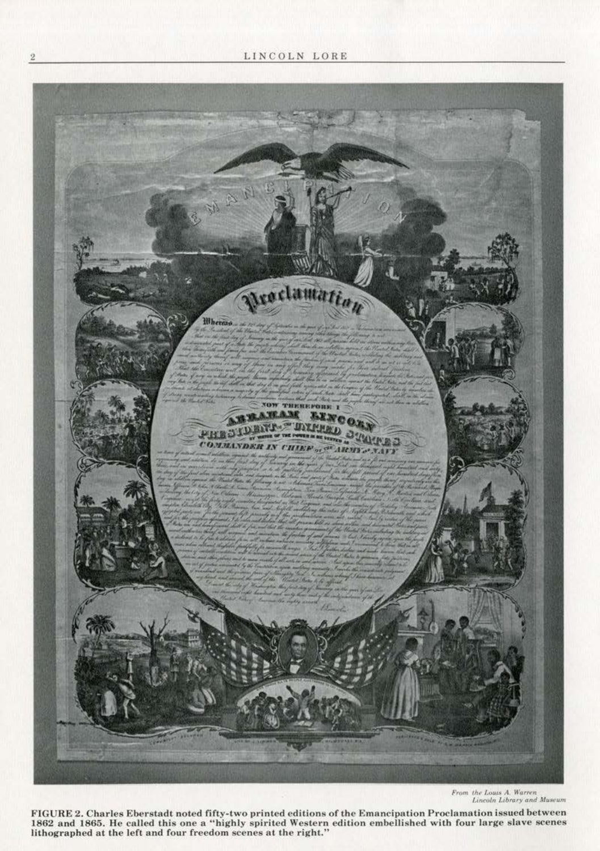

From the Louis A. Warren<br>Lincoln Library and Museum

FIGURE 2. Charles Eberstadt noted fifty-two printed editions of the Emancipation Proclamation issued between 1862 and 1865. He called this one a "highly spirited Western edition embellished with four large slave scenes<br>lithographed at the left and four freedom scenes at the right."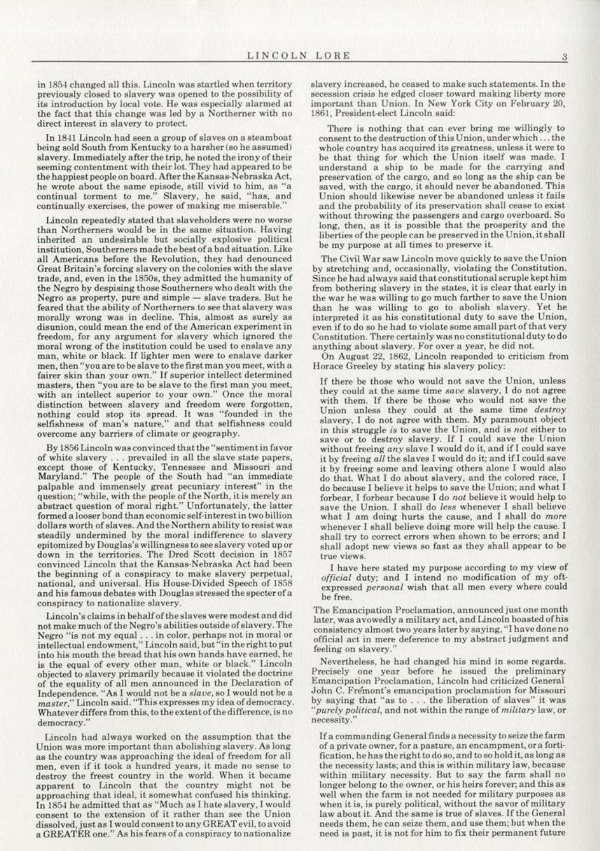in 1854 changed all this. Lincoln was startled when territory previously closed to slavery was opened to the possibility or its introduction by local vote. He was especially alarmed at the fact that this change was led by a Northerner with no direct interest in slavery to protect.

In 1841 Lincoln had seen a group of slaves on a steamboat being sold South from Kentucky to a harsher (so he assumed) slavery. Immediately after the trip, he noted the irony of their seeming contentment with their lot. They had appeared to be the happiest people on board. After the Kansas-Nebraska Act, he wrote about the same episode, still vivid to him, as "a continual torment to me." Slavery, he said, ''has. and continually exercises. the power of making me miserable.''

Lincoln repeatedly stated that slaveholders were no worse than Northerners would be in the same situation. Having inherited an undesirable but socially explosive political institution, Southerners made the best of a bad situation. Like all Americans before the Revolution, they had denounced Great Britain's forcing slavery on the colonies with the slave trade, and, even in the 1850s, they admitted the humanity of the Negro by despising those Southerners who dealt with the Negro as property, pure and simple - slave traders. But he feared that the ability of Northerners to see that slavery was morally wrong was in decline. This, almost as surely as disunion, could mean the end of the American experiment in freedom, for any argument for slavery which ignored the moral wrong of the institution could be used to enslave any man, white or black. If lighter men were to enslave darker men, then "you are to be slave to the first man you meet, with a fairer skin than your own." If superior intellect determined masters, then "you are to be slave to the first man you meet, with an intellect superior to your own." Once the moral distinction between slavery and freedom were forgotten, nothing could stop its spread. It was "founded in the selfishness of man's nature," and that selfishness could overcome any barriers of climate or geography.

By 1856 Lincoln was convinced that the "sentiment in favor of white slavery . . . prevailed in all the slave state papers, except those of Kentucky, Tennessee and Missouri and Maryland." The people of the South had "an immediate palpable and immensely great pecuniary interest" in the question; "while, with the people of the North, it is merely an abstract question of moral right." Unfortunately, the latter formed a looser bond than economic self-interest in two billion dollars worth of slaves. And the Northern ability to resist was steadily undermined by the moral indifference to slavery epitomized by Douglas's willingness to see slavery voted up or down in the territories. The Dred Scott decision in 1857 convinced Lincoln that the Kansas-Nebraska Act had been the beginning of a conspiracy to make slavery perpetual, national, and universal. His House-Divided Speech of 1858 and his famous debates with Douglas stressed the specter of a conspiracy to nationalize &lavery.

Lincoln's claims in bchaJf of the slaves were modest and did not make much of the Negro's abilities outside of slavery. The Negro "is not my equal ... in color, perhaps not in moral or intellectual endowment," Lincoln said, but "in the right to put into his mouth the bread that his own hands have esrned, he is the equal of every other man, white or black." Lincoln objected to slavery primarily because it violated the doctrine of the equality of all men announced in the Declaration of Independence. "As I would not be a slave, so I would not be a *master*," Lincoln said. "This expresses my idea of democracy. Whatever differs from this, to the extent of the difference, is no democracy."

Lincoln had always worked on the assumption that the Union was more important than abolishing slavery. As long as the country was approaching the ideal of freedom for all men. even if it took a hundred years. it made no sense to destroy the freest country in the world. When it became apparent to Lincoln that the country might not be approaching that ideal, it somewhat confused his thinking. ln 185-t he admitted that as " Much as I hate slavery, I would consent to the extension of it rather than *see* the Union dissolved, just as I would consent to any GREAT evil, to avoid a GREATER one." As his fears of a conspiracy to nationalize slavery increased, he ceased to make such statements. In the secession crisis he edged closer toward making liberty more important than Union. In New York City on February 20, 1861, President-elect Lincoln said:

There is nothing that can ever bring me willingly to consent to the destruction of this Union. under which, .. the whole country has acquired its greatness, unless it were to be that thing for which the Union itaelf was made. I understand a ship *to* be made for the carrying and preservation of the cargo, and so long as the ship can be saved, with the cargo, it should never be abandoned. This Union should Likewise never be abandoned unless it fails and the probability of its preservation shall cease to exist without throwing the passengers and cargo overboard. So long, then. as it is possible that the prosperity and the liberties of the people can be preserved in the Union, it shall be my purpose at all times to preserve it.

The Civil War saw Lincoln move quickly to save the Union by stretching and, occasionally, violating the Constitution. Since he had always said that constitutional scruple kepthim from bothering slavery in the states, it is clear that early in the war he was willing to go much farther to save the Union than he was willing to go to abolish slavery. Yet he interpreted it as his constitutional duty to save the Union, even if to do so he had to violate some small part of that very Constitution. There certainly was no constitutional duty to do anything about slavery. For over a year, he did not.

On August 22, 1862. Lincoln responded to criticism from Horace Greeley by stating his slavery policy:

If there be those who would not save the Union, unless they could at the same time save slavery. I do not agree with them. If there be those who would not save the Union un less they could at the same time *destroy*  slavery, I do not agree with them. My paramount object in this struggle *is* to save the Union, and is *not* either to save or to destroy slavery. If I could save the Union without freeing any slave 1 would do it, and if I could save it by freeing *all* the slaves I would do it; and if I could save it by freeing some and leaving others alone I would also do that. What I do about slavery, and the colored race, I do because I believe it helps to save the Union; and what I forbear, I forbear because I do *not* believe it would help to save the Union. l shall do *less* whenever I shall believe what I am doing hurts the cause, and I shall do *more* whenever I shall believe doing more will help the cause. I shall try to correct errors when shown to be errors; and I shall adopt new views so fast as they shall appear to be true views.

I have here stated my purpose according to my view of *official* duty; and I intend no modification of my oft· expressed *personal* wish that all men every where could be free.

The Emancipation Proclamation, announced just one month later, was avowedly a military act, and Lincoln boasted of his consistency almost two years later by saying, "I have done no official act in mere deference to my abstract judgment and feeling on slavery."

Nevertheless. he had changed his mind in some regards. Precisely one year before he issued the preliminary Emancipation Proclamation, Lincoln had criticized General John C. Fre'mont's emancipation proclamation for Missouri by saying that "as to ... the liberation of slaves" it was "*purely political*, and not within the range of *military* law, or necessity.''

If a commanding General finds a necessity to seize the farm of a private owner, for a pasture. an encampment, ora forti· fication, he has the right to do so, and to so hold it, as long as the necessity lasts; and this is within military law, because within military necessity. But to say the farm shall no longer belong to the owner, or his heirs forever; and this as well when the farm is not needed for military purposes as when it is, is purely political, without the savor of military law about it. And the same is true of slaves. If the General needs them, he can seize them, and use them; but when the need is past. it is not for him to fix their permanent future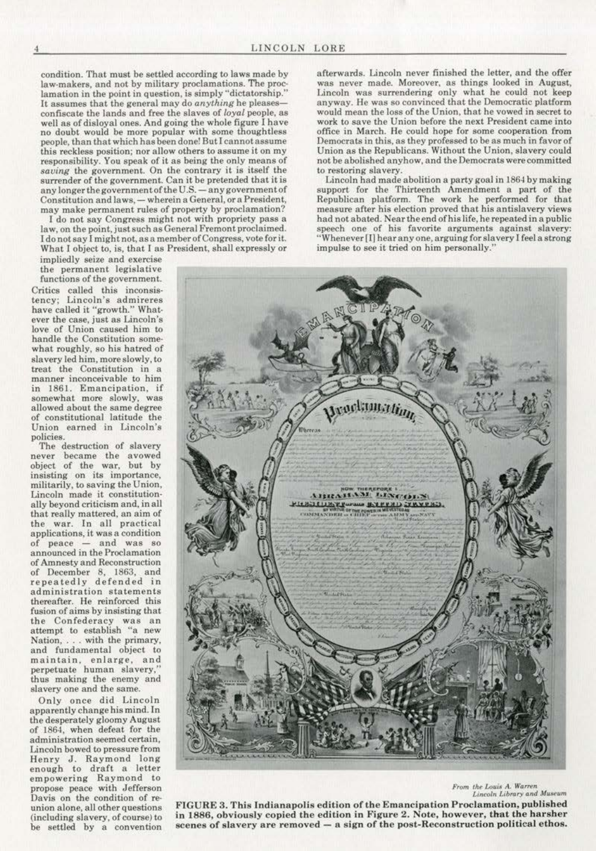condition. That must be settled according to laws made by **law·makers, and not by military proclamations. The proc·**  lamation in the point in question, is simply "dictatorship." It assumes that the general may do *anything* he pleasesconfiscate the lands and free the slaves of *loyal* people. as well as of disloyal ones. And going the whole figure I have no doubt would be more popular with some thoughtless **people, than that which has been done! But I cannot assume this reckless position; nor a llow others to assume it on my**  responsibility. You speak of it as being the only means of *saving* **the government. On the contrary it is itself the surrender of the government. Can it be pretended that it is**  any longer the government of the U.S. - any government of Constitution and laws, - wherein a General, or a President, may make permanent rules of property by proclamation?

l do not say Congress might not with propriety pass a **Jaw, on the point, just such as General Fremont proclaimed.**  I donot say I might not, as a member of Congress, vote for it. What I object to, is, that I as President, shall expressly or

**impliedly seite and exercise the permanent legislative functions of the government.**  Critics called this inconsis**tency; Lincoln's admireres**  have called it "growth." What· **ever the case, just as Lincoln's love of Union caused him to**  what roughly, so his hatred of slavery led him, more slowly, to **treat the Constitution in a manner inconceivable to him in 1861. Emancipation, if somewhat more slowly, was**  allowed about the same degree of constitutional latitude the **Union earned in Lincoln's** 

policies.<br>The destruction of slavery never became the avowed object of the war, but by **insisting on its importance, militarily, to saving the Union, Lincoln made it constitution·**  ally beyond criticism and, in all that really mattered. an aim of **the war. In all practical applications, it was a condition of peace - and was so announced in the Proclamation**  of Amnesty and Reconstruction of December 8. 1863, and repeatedly defended in **administration statements**  thereafter. He reinforeed this **fusion of aims by insisting that the Confederacy was an attempt to establish "a new Nation,** .. . **with the primary,**  and fundamental object to **maintain, en large, and**  perpetuate human slavery, thus making the enemy and **slavery one and the same.** 

Only once did Lincoln apparently change his mind. In the desperately gloomy August of 1864, when defeat for the  $administration seemed certain,$ Lincoln bowed to pressure from Henry J. Raymond long enough to draft a letter **empowering Raymond to**  propose peace with Jefferson **union alone, all other questions**  (including slavery, of course) to be settled by a convention afterwards. Lincoln never finished the letter, and the offer **was never made. Moreover, as things looked in August,**  Lincoln was surrendering only what he could not keep **anyway. He was so convinced that the Democratic platform**  would mean the loss of the Union, that he vowed in secret to **work to save the Union before the next President came into office in March. He could hope for some cooperation from**  Democrats in this, as they professed to be as much in favor of Union as the Republicans. Without the Union, slavery could not be abolished anyhow, and the Democrats were committed *to* **restoring slavery.** 

Lincoln had made abolition a party goal in 1864 by making support for the Thirteenth Amendment a part of the Republican platform. The work he performed for that **measure after his election proved that his antislavery views**  had not abated. Near the end of his life, he repeated in a public **speech one of his favorite arguments against slavery: "Whenever [fj hear any one, arguing for slavery I feel a strong impulse to see it tried on him personaUy."** 



**1- From the Louis A. Warren<br>Lincoln Library and Museum** 

*Linroln l..ibrory ond Mu6o!•um* **Davis on the condition of re-**FIGURE 3. This Indianapolis edition of the Emancipation Proclamation, publish ed **in 1886, obviously copied the edjtion in Figure 2. Note, however, that the harsher**  scenes of slavery are removed - a sign of the post-Reconstruction political ethos.